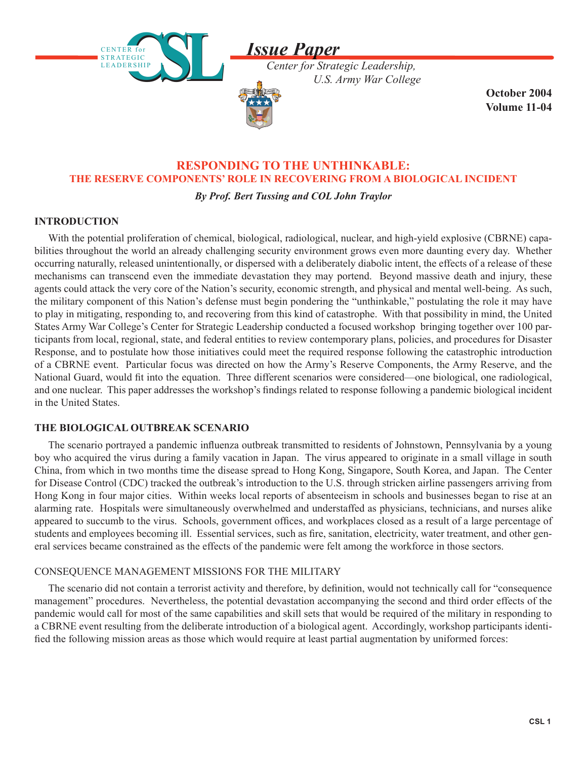*Issue Paper*



*Center for Strategic Leadership, U.S. Army War College* 

 **October 2004 Volume 11-04**

# **RESPONDING TO THE UNTHINKABLE: THE RESERVE COMPONENTS' ROLE IN RECOVERING FROM A BIOLOGICAL INCIDENT**

*By Prof. Bert Tussing and COL John Traylor* 

# **INTRODUCTION**

With the potential proliferation of chemical, biological, radiological, nuclear, and high-yield explosive (CBRNE) capabilities throughout the world an already challenging security environment grows even more daunting every day. Whether occurring naturally, released unintentionally, or dispersed with a deliberately diabolic intent, the effects of a release of these mechanisms can transcend even the immediate devastation they may portend. Beyond massive death and injury, these agents could attack the very core of the Nation's security, economic strength, and physical and mental well-being. As such, the military component of this Nation's defense must begin pondering the "unthinkable," postulating the role it may have to play in mitigating, responding to, and recovering from this kind of catastrophe. With that possibility in mind, the United States Army War College's Center for Strategic Leadership conducted a focused workshop bringing together over 100 participants from local, regional, state, and federal entities to review contemporary plans, policies, and procedures for Disaster Response, and to postulate how those initiatives could meet the required response following the catastrophic introduction of a CBRNE event. Particular focus was directed on how the Army's Reserve Components, the Army Reserve, and the National Guard, would fi t into the equation. Three different scenarios were considered—one biological, one radiological, and one nuclear. This paper addresses the workshop's findings related to response following a pandemic biological incident in the United States.

## **THE BIOLOGICAL OUTBREAK SCENARIO**

The scenario portrayed a pandemic influenza outbreak transmitted to residents of Johnstown, Pennsylvania by a young boy who acquired the virus during a family vacation in Japan. The virus appeared to originate in a small village in south China, from which in two months time the disease spread to Hong Kong, Singapore, South Korea, and Japan. The Center for Disease Control (CDC) tracked the outbreak's introduction to the U.S. through stricken airline passengers arriving from Hong Kong in four major cities. Within weeks local reports of absenteeism in schools and businesses began to rise at an alarming rate. Hospitals were simultaneously overwhelmed and understaffed as physicians, technicians, and nurses alike appeared to succumb to the virus. Schools, government offices, and workplaces closed as a result of a large percentage of students and employees becoming ill. Essential services, such as fire, sanitation, electricity, water treatment, and other general services became constrained as the effects of the pandemic were felt among the workforce in those sectors.

# CONSEQUENCE MANAGEMENT MISSIONS FOR THE MILITARY

The scenario did not contain a terrorist activity and therefore, by definition, would not technically call for "consequence" management" procedures. Nevertheless, the potential devastation accompanying the second and third order effects of the pandemic would call for most of the same capabilities and skill sets that would be required of the military in responding to a CBRNE event resulting from the deliberate introduction of a biological agent. Accordingly, workshop participants identified the following mission areas as those which would require at least partial augmentation by uniformed forces: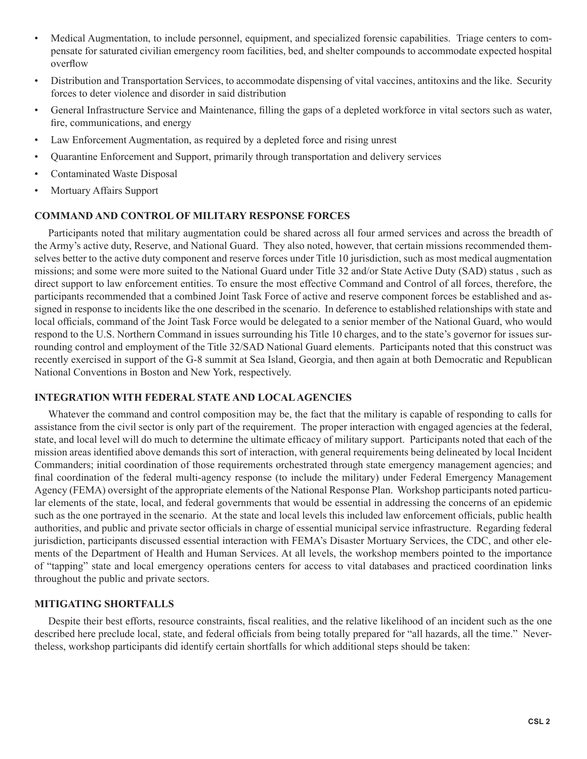- Medical Augmentation, to include personnel, equipment, and specialized forensic capabilities. Triage centers to compensate for saturated civilian emergency room facilities, bed, and shelter compounds to accommodate expected hospital overflow
- Distribution and Transportation Services, to accommodate dispensing of vital vaccines, antitoxins and the like. Security forces to deter violence and disorder in said distribution
- General Infrastructure Service and Maintenance, filling the gaps of a depleted workforce in vital sectors such as water, fire, communications, and energy
- Law Enforcement Augmentation, as required by a depleted force and rising unrest
- Quarantine Enforcement and Support, primarily through transportation and delivery services
- Contaminated Waste Disposal
- Mortuary Affairs Support

#### **COMMAND AND CONTROL OF MILITARY RESPONSE FORCES**

Participants noted that military augmentation could be shared across all four armed services and across the breadth of the Army's active duty, Reserve, and National Guard. They also noted, however, that certain missions recommended themselves better to the active duty component and reserve forces under Title 10 jurisdiction, such as most medical augmentation missions; and some were more suited to the National Guard under Title 32 and/or State Active Duty (SAD) status , such as direct support to law enforcement entities. To ensure the most effective Command and Control of all forces, therefore, the participants recommended that a combined Joint Task Force of active and reserve component forces be established and assigned in response to incidents like the one described in the scenario. In deference to established relationships with state and local officials, command of the Joint Task Force would be delegated to a senior member of the National Guard, who would respond to the U.S. Northern Command in issues surrounding his Title 10 charges, and to the state's governor for issues surrounding control and employment of the Title 32/SAD National Guard elements. Participants noted that this construct was recently exercised in support of the G-8 summit at Sea Island, Georgia, and then again at both Democratic and Republican National Conventions in Boston and New York, respectively.

#### **INTEGRATION WITH FEDERAL STATE AND LOCAL AGENCIES**

Whatever the command and control composition may be, the fact that the military is capable of responding to calls for assistance from the civil sector is only part of the requirement. The proper interaction with engaged agencies at the federal, state, and local level will do much to determine the ultimate efficacy of military support. Participants noted that each of the mission areas identified above demands this sort of interaction, with general requirements being delineated by local Incident Commanders; initial coordination of those requirements orchestrated through state emergency management agencies; and final coordination of the federal multi-agency response (to include the military) under Federal Emergency Management Agency (FEMA) oversight of the appropriate elements of the National Response Plan. Workshop participants noted particular elements of the state, local, and federal governments that would be essential in addressing the concerns of an epidemic such as the one portrayed in the scenario. At the state and local levels this included law enforcement officials, public health authorities, and public and private sector officials in charge of essential municipal service infrastructure. Regarding federal jurisdiction, participants discussed essential interaction with FEMA's Disaster Mortuary Services, the CDC, and other elements of the Department of Health and Human Services. At all levels, the workshop members pointed to the importance of "tapping" state and local emergency operations centers for access to vital databases and practiced coordination links throughout the public and private sectors.

#### **MITIGATING SHORTFALLS**

Despite their best efforts, resource constraints, fiscal realities, and the relative likelihood of an incident such as the one described here preclude local, state, and federal officials from being totally prepared for "all hazards, all the time." Nevertheless, workshop participants did identify certain shortfalls for which additional steps should be taken: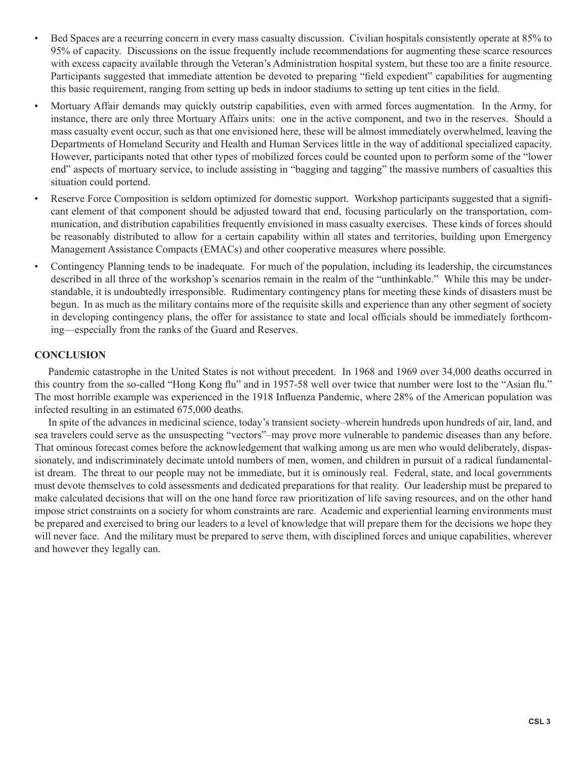- Bed Spaces are a recurring concern in every mass casualty discussion. Civilian hospitals consistently operate at 85% to 95% of capacity. Discussions on the issue frequently include recommendations for augmenting these scarce resources with excess capacity available through the Veteran's Administration hospital system, but these too are a finite resource. Participants suggested that immediate attention be devoted to preparing "field expedient" capabilities for augmenting this basic requirement, ranging from setting up beds in indoor stadiums to setting up tent cities in the field.
- Mortuary Affair demands may quickly outstrip capabilities, even with armed forces augmentation. In the Army, for instance, there are only three Mortuary Affairs units: one in the active component, and two in the reserves. Should a mass casualty event occur, such as that one envisioned here, these will be almost immediately overwhelmed, leaving the Departments of Homeland Security and Health and Human Services little in the way of additional specialized capacity. However, participants noted that other types of mobilized forces could be counted upon to perform some of the "lower end" aspects of mortuary service, to include assisting in "bagging and tagging" the massive numbers of casualties this situation could portend.
- Reserve Force Composition is seldom optimized for domestic support. Workshop participants suggested that a significant element of that component should be adjusted toward that end, focusing particularly on the transportation, communication, and distribution capabilities frequently envisioned in mass casualty exercises. These kinds of forces should be reasonably distributed to allow for a certain capability within all states and territories, building upon Emergency Management Assistance Compacts (EMACs) and other cooperative measures where possible.
- Contingency Planning tends to be inadequate. For much of the population, including its leadership, the circumstances described in all three of the workshop's scenarios remain in the realm of the "unthinkable." While this may be understandable, it is undoubtedly irresponsible. Rudimentary contingency plans for meeting these kinds of disasters must be begun. In as much as the military contains more of the requisite skills and experience than any other segment of society in developing contingency plans, the offer for assistance to state and local officials should be immediately forthcoming—especially from the ranks of the Guard and Reserves.

### **CONCLUSION**

Pandemic catastrophe in the United States is not without precedent. In 1968 and 1969 over 34,000 deaths occurred in this country from the so-called "Hong Kong flu" and in 1957-58 well over twice that number were lost to the "Asian flu." The most horrible example was experienced in the 1918 Influenza Pandemic, where 28% of the American population was infected resulting in an estimated 675,000 deaths.

In spite of the advances in medicinal science, today's transient society–wherein hundreds upon hundreds of air, land, and sea travelers could serve as the unsuspecting "vectors"–may prove more vulnerable to pandemic diseases than any before. That ominous forecast comes before the acknowledgement that walking among us are men who would deliberately, dispassionately, and indiscriminately decimate untold numbers of men, women, and children in pursuit of a radical fundamentalist dream. The threat to our people may not be immediate, but it is ominously real. Federal, state, and local governments must devote themselves to cold assessments and dedicated preparations for that reality. Our leadership must be prepared to make calculated decisions that will on the one hand force raw prioritization of life saving resources, and on the other hand impose strict constraints on a society for whom constraints are rare. Academic and experiential learning environments must be prepared and exercised to bring our leaders to a level of knowledge that will prepare them for the decisions we hope they will never face. And the military must be prepared to serve them, with disciplined forces and unique capabilities, wherever and however they legally can.